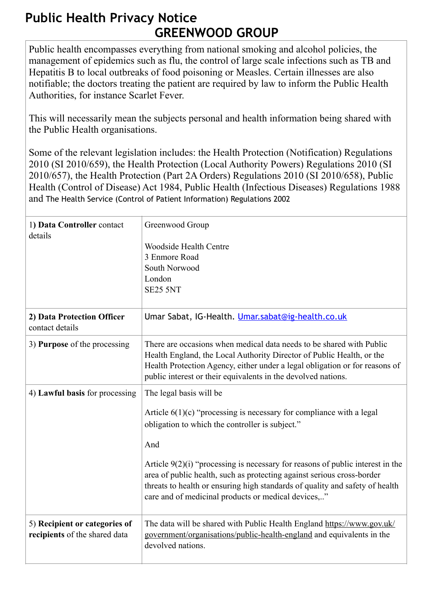## **Public Health Privacy Notice GREENWOOD GROUP**

Public health encompasses everything from national smoking and alcohol policies, the management of epidemics such as flu, the control of large scale infections such as TB and Hepatitis B to local outbreaks of food poisoning or Measles. Certain illnesses are also notifiable; the doctors treating the patient are required by law to inform the Public Health Authorities, for instance Scarlet Fever.

This will necessarily mean the subjects personal and health information being shared with the Public Health organisations.

[Some of the relevant legislation includes: the Health Protection \(Notification\) Regulations](http://www.legislation.gov.uk/uksi/2010/659/contents/made)  [2010 \(SI 2010/659\), the Health Protection \(Local Authority Powers\) Regulations 2010 \(SI](http://www.legislation.gov.uk/uksi/2010/657/contents/made)  [2010/657\),](https://www.legislation.gov.uk/ukpga/1984/22) [the Health Protection \(Part 2A Orders\) Regulations 2010 \(SI 2010/658\)](http://www.legislation.gov.uk/uksi/2010/658/contents/made)[, Public](https://www.legislation.gov.uk/ukpga/1984/22)  Health (Control of Disease) Act 1984, [Public Health \(Infectious Diseases\) Regulations 1988](http://www.legislation.gov.uk/uksi/1988/1546/contents/made) and [The Health Service \(Control of Patient Information\) Regulations 2002](http://www.legislation.gov.uk/uksi/2002/1438/regulation/3/made) 

| 1) Data Controller contact<br>details                          | Greenwood Group<br><b>Woodside Health Centre</b><br>3 Enmore Road<br>South Norwood<br>London<br><b>SE25 5NT</b>                                                                                                                                                                                                                                                                                                                                                  |
|----------------------------------------------------------------|------------------------------------------------------------------------------------------------------------------------------------------------------------------------------------------------------------------------------------------------------------------------------------------------------------------------------------------------------------------------------------------------------------------------------------------------------------------|
| 2) Data Protection Officer<br>contact details                  | Umar Sabat, IG-Health. Umar.sabat@ig-health.co.uk                                                                                                                                                                                                                                                                                                                                                                                                                |
| 3) Purpose of the processing                                   | There are occasions when medical data needs to be shared with Public<br>Health England, the Local Authority Director of Public Health, or the<br>Health Protection Agency, either under a legal obligation or for reasons of<br>public interest or their equivalents in the devolved nations.                                                                                                                                                                    |
| 4) Lawful basis for processing                                 | The legal basis will be<br>Article $6(1)(c)$ "processing is necessary for compliance with a legal<br>obligation to which the controller is subject."<br>And<br>Article $9(2)(i)$ "processing is necessary for reasons of public interest in the<br>area of public health, such as protecting against serious cross-border<br>threats to health or ensuring high standards of quality and safety of health<br>care and of medicinal products or medical devices," |
| 5) Recipient or categories of<br>recipients of the shared data | The data will be shared with Public Health England https://www.gov.uk/<br>government/organisations/public-health-england and equivalents in the<br>devolved nations.                                                                                                                                                                                                                                                                                             |